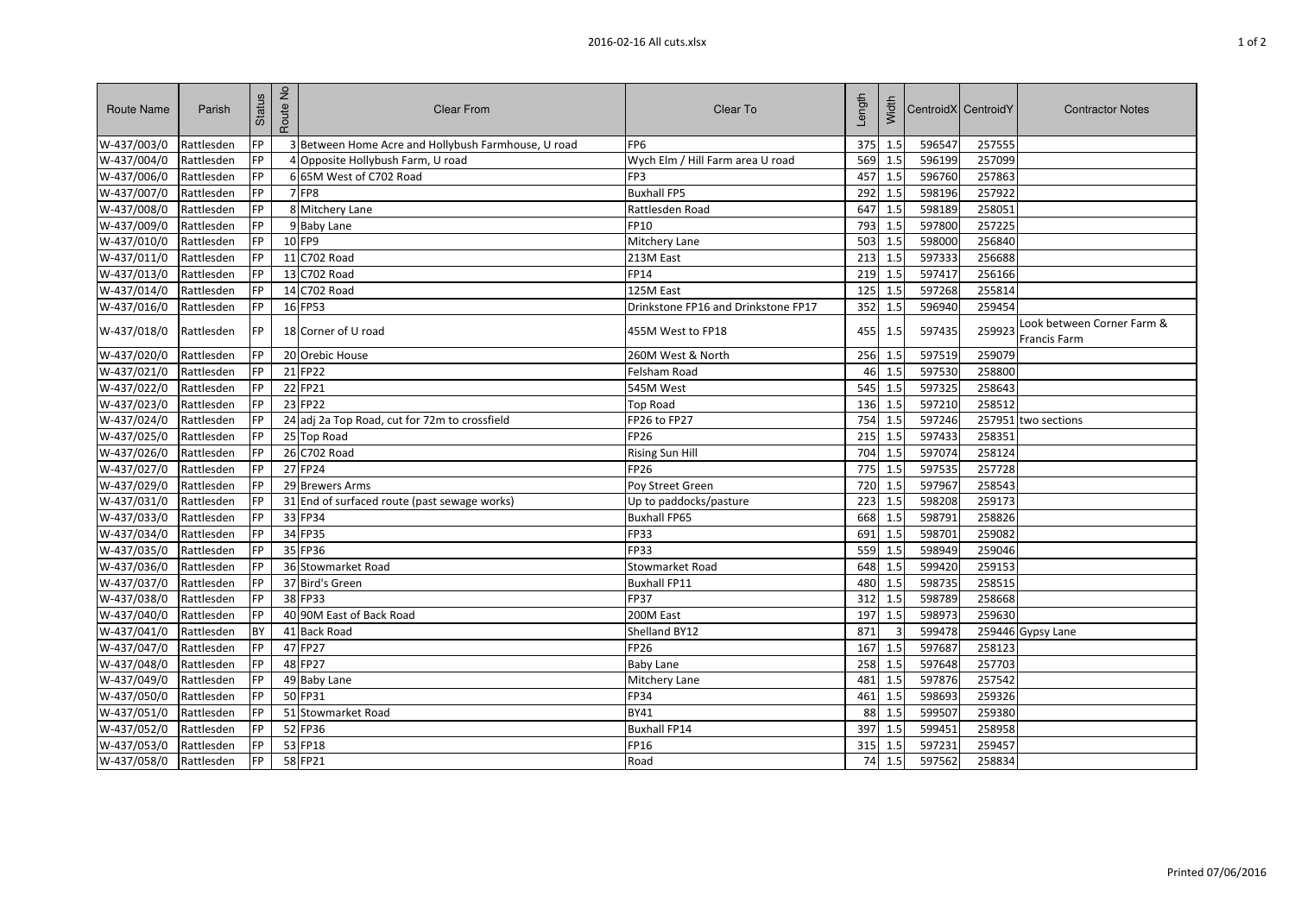| <b>Route Name</b> | Parish     | Status    | Route No | <b>Clear From</b>                                   | Clear To                            | Length | Width                   |        | CentroidX CentroidY | <b>Contractor Notes</b>                    |
|-------------------|------------|-----------|----------|-----------------------------------------------------|-------------------------------------|--------|-------------------------|--------|---------------------|--------------------------------------------|
| W-437/003/0       | Rattlesden | FP        |          | 3 Between Home Acre and Hollybush Farmhouse, U road | FP <sub>6</sub>                     | 375    | 1.5                     | 596547 | 257555              |                                            |
| W-437/004/0       | Rattlesden | FP        |          | 4 Opposite Hollybush Farm, U road                   | Wych Elm / Hill Farm area U road    | 569    | 1.5                     | 596199 | 257099              |                                            |
| W-437/006/0       | Rattlesden | FP        |          | 6 65M West of C702 Road                             | FP3                                 | 457    | 1.5                     | 596760 | 257863              |                                            |
| W-437/007/0       | Rattlesden | FP        |          | <b>7 FP8</b>                                        | <b>Buxhall FP5</b>                  | 292    | 1.5                     | 598196 | 257922              |                                            |
| W-437/008/0       | Rattlesden | FP        |          | 8 Mitchery Lane                                     | Rattlesden Road                     | 647    | 1.5                     | 598189 | 258051              |                                            |
| W-437/009/0       | Rattlesden | FP        |          | 9 Baby Lane                                         | FP10                                | 793    | 1.5                     | 597800 | 257225              |                                            |
| W-437/010/0       | Rattlesden | FP        |          | 10 FP9                                              | Mitchery Lane                       | 503    | 1.5                     | 598000 | 256840              |                                            |
| W-437/011/0       | Rattlesden | <b>FP</b> |          | 11 C702 Road                                        | 213M East                           | 213    | 1.5                     | 597333 | 256688              |                                            |
| W-437/013/0       | Rattlesden | <b>FP</b> |          | 13 C702 Road                                        | <b>FP14</b>                         | 219    | 1.5                     | 597417 | 256166              |                                            |
| W-437/014/0       | Rattlesden | <b>FP</b> |          | 14 C702 Road                                        | 125M East                           | 125    | 1.5                     | 597268 | 255814              |                                            |
| W-437/016/0       | Rattlesden | <b>FP</b> |          | 16 FP53                                             | Drinkstone FP16 and Drinkstone FP17 | 352    | 1.5                     | 596940 | 259454              |                                            |
| W-437/018/0       | Rattlesden | <b>FP</b> |          | 18 Corner of U road                                 | 455M West to FP18                   | 455    | 1.5                     | 597435 | 259923              | Look between Corner Farm &<br>Francis Farm |
| W-437/020/0       | Rattlesden | FP        |          | 20 Orebic House                                     | 260M West & North                   | 256    | 1.5                     | 597519 | 259079              |                                            |
| W-437/021/0       | Rattlesden | <b>FP</b> |          | 21 FP22                                             | Felsham Road                        | 46     | 1.5                     | 597530 | 258800              |                                            |
| W-437/022/0       | Rattlesden | <b>FP</b> |          | 22 FP21                                             | 545M West                           | 545    | 1.5                     | 597325 | 258643              |                                            |
| W-437/023/0       | Rattlesden | FP        |          | 23 FP22                                             | Top Road                            | 136    | 1.5                     | 597210 | 258512              |                                            |
| W-437/024/0       | Rattlesden | <b>FP</b> |          | 24 adj 2a Top Road, cut for 72m to crossfield       | FP26 to FP27                        | 754    | 1.5                     | 597246 |                     | 257951 two sections                        |
| W-437/025/0       | Rattlesden | <b>FP</b> |          | 25 Top Road                                         | FP26                                | 215    | 1.5                     | 597433 | 258351              |                                            |
| W-437/026/0       | Rattlesden | <b>FP</b> |          | 26 C702 Road                                        | <b>Rising Sun Hill</b>              | 704    | 1.5                     | 597074 | 258124              |                                            |
| W-437/027/0       | Rattlesden | FP        |          | 27 FP24                                             | <b>FP26</b>                         | 775    | 1.5                     | 597535 | 257728              |                                            |
| W-437/029/0       | Rattlesden | <b>FP</b> |          | 29 Brewers Arms                                     | Poy Street Green                    | 720    | 1.5                     | 597967 | 258543              |                                            |
| W-437/031/0       | Rattlesden | FP        |          | 31 End of surfaced route (past sewage works)        | Up to paddocks/pasture              | 223    | 1.5                     | 598208 | 259173              |                                            |
| W-437/033/0       | Rattlesden | <b>FP</b> |          | 33 FP34                                             | <b>Buxhall FP65</b>                 | 668    | 1.5                     | 598791 | 258826              |                                            |
| W-437/034/0       | Rattlesden | FP        |          | 34 FP35                                             | FP33                                | 691    | 1.5                     | 598701 | 259082              |                                            |
| W-437/035/0       | Rattlesden | <b>FP</b> |          | 35 FP36                                             | FP33                                | 559    | 1.5                     | 598949 | 259046              |                                            |
| W-437/036/0       | Rattlesden | <b>FP</b> |          | 36 Stowmarket Road                                  | <b>Stowmarket Road</b>              | 648    | 1.5                     | 599420 | 259153              |                                            |
| W-437/037/0       | Rattlesden | FP        |          | 37 Bird's Green                                     | <b>Buxhall FP11</b>                 | 480    | 1.5                     | 598735 | 258515              |                                            |
| W-437/038/0       | Rattlesden | <b>FP</b> |          | 38 FP33                                             | <b>FP37</b>                         | 312    | 1.5                     | 598789 | 258668              |                                            |
| W-437/040/0       | Rattlesden | <b>FP</b> |          | 40 90M East of Back Road                            | 200M East                           | 197    | 1.5                     | 598973 | 259630              |                                            |
| W-437/041/0       | Rattlesden | BY        |          | 41 Back Road                                        | Shelland BY12                       | 871    | $\overline{\mathbf{3}}$ | 599478 |                     | 259446 Gypsy Lane                          |
| W-437/047/0       | Rattlesden | <b>FP</b> |          | 47 FP27                                             | FP26                                | 167    | 1.5                     | 597687 | 258123              |                                            |
| W-437/048/0       | Rattlesden | FP        |          | 48 FP27                                             | <b>Baby Lane</b>                    | 258    | 1.5                     | 597648 | 257703              |                                            |
| W-437/049/0       | Rattlesden | FP        |          | 49 Baby Lane                                        | Mitchery Lane                       | 481    | 1.5                     | 597876 | 257542              |                                            |
| W-437/050/0       | Rattlesden | FP.       |          | 50 FP31                                             | <b>FP34</b>                         | 461    | 1.5                     | 598693 | 259326              |                                            |
| W-437/051/0       | Rattlesden | <b>FP</b> |          | 51 Stowmarket Road                                  | <b>BY41</b>                         | 88     | 1.5                     | 599507 | 259380              |                                            |
| W-437/052/0       | Rattlesden | FP        |          | 52 FP36                                             | <b>Buxhall FP14</b>                 | 397    | 1.5                     | 599451 | 258958              |                                            |
| W-437/053/0       | Rattlesden | <b>FP</b> |          | 53 FP18                                             | FP16                                | 315    | 1.5                     | 597231 | 259457              |                                            |
| W-437/058/0       | Rattlesden | <b>FP</b> |          | 58 FP21                                             | Road                                | 74     | 1.5                     | 597562 | 258834              |                                            |